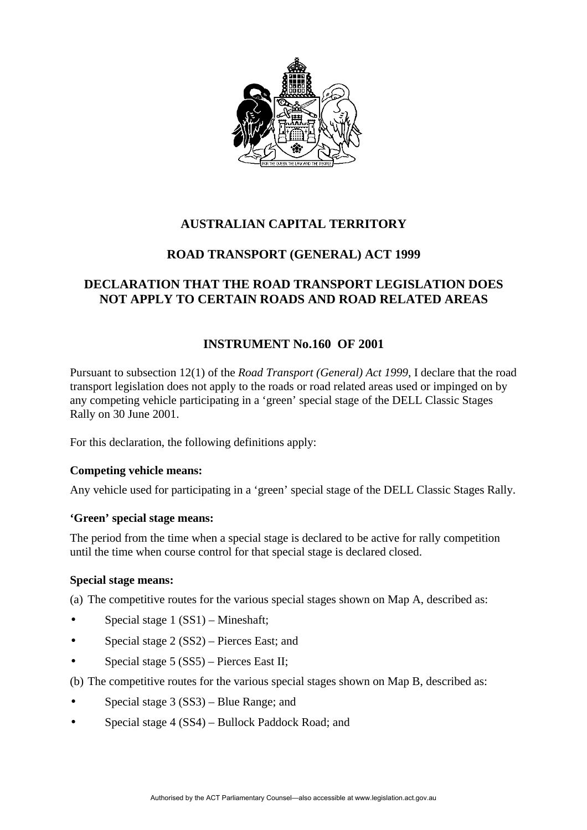

# **AUSTRALIAN CAPITAL TERRITORY**

### **ROAD TRANSPORT (GENERAL) ACT 1999**

## **DECLARATION THAT THE ROAD TRANSPORT LEGISLATION DOES NOT APPLY TO CERTAIN ROADS AND ROAD RELATED AREAS**

### **INSTRUMENT No.160 OF 2001**

Pursuant to subsection 12(1) of the *Road Transport (General) Act 1999*, I declare that the road transport legislation does not apply to the roads or road related areas used or impinged on by any competing vehicle participating in a 'green' special stage of the DELL Classic Stages Rally on 30 June 2001.

For this declaration, the following definitions apply:

### **Competing vehicle means:**

Any vehicle used for participating in a 'green' special stage of the DELL Classic Stages Rally.

### **'Green' special stage means:**

The period from the time when a special stage is declared to be active for rally competition until the time when course control for that special stage is declared closed.

### **Special stage means:**

(a) The competitive routes for the various special stages shown on Map A, described as:

- Special stage 1 (SS1) Mineshaft;
- Special stage 2 (SS2) Pierces East; and
- Special stage 5 (SS5) Pierces East II;
- (b) The competitive routes for the various special stages shown on Map B, described as:
- Special stage 3 (SS3) Blue Range; and
- Special stage 4 (SS4) Bullock Paddock Road; and